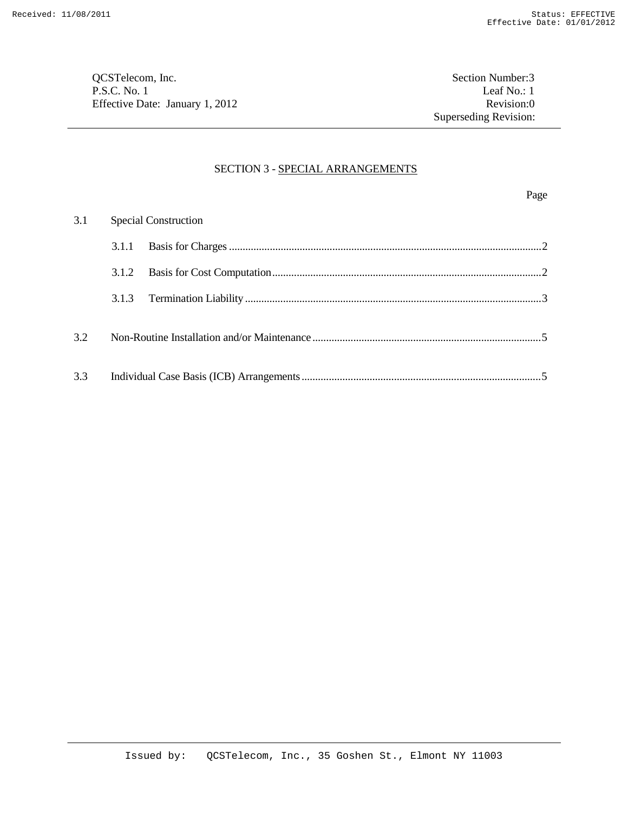QCSTelecom, Inc. Section Number:3 P.S.C. No. 1 Leaf No.: 1 Effective Date: January 1, 2012 Revision:0

## SECTION 3 - SPECIAL ARRANGEMENTS

Page

|     | 3.1 Special Construction |  |  |
|-----|--------------------------|--|--|
|     | 3.1.1                    |  |  |
|     |                          |  |  |
|     | 3.1.3                    |  |  |
| 3.2 |                          |  |  |
| 3.3 |                          |  |  |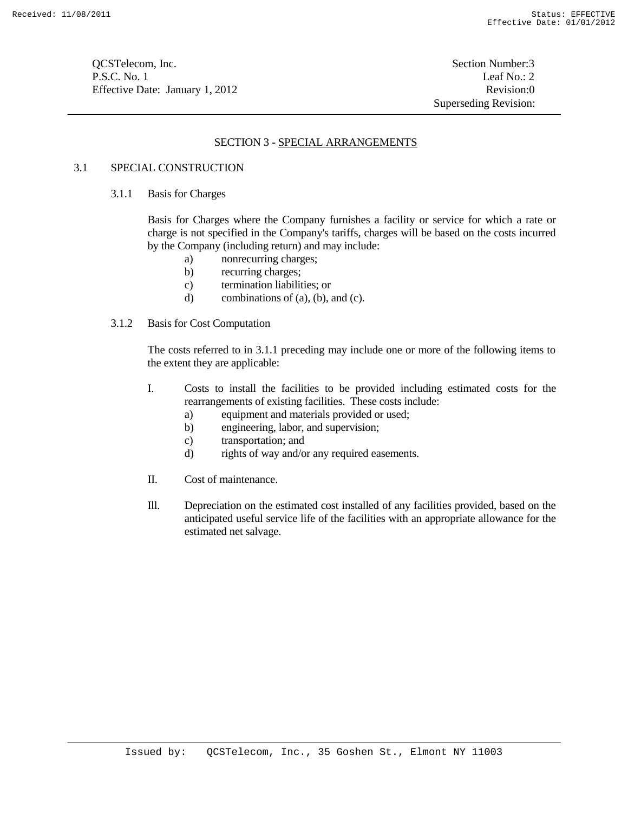**OCSTelecom, Inc.** Section Number:3 P.S.C. No. 1 Leaf No.: 2 Effective Date: January 1, 2012 Revision:0

Superseding Revision:

# SECTION 3 - SPECIAL ARRANGEMENTS

## 3.1 SPECIAL CONSTRUCTION

#### 3.1.1 Basis for Charges

Basis for Charges where the Company furnishes a facility or service for which a rate or charge is not specified in the Company's tariffs, charges will be based on the costs incurred by the Company (including return) and may include:

- a) nonrecurring charges;
- b) recurring charges;
- c) termination liabilities; or
- d) combinations of (a), (b), and (c).

#### 3.1.2 Basis for Cost Computation

The costs referred to in 3.1.1 preceding may include one or more of the following items to the extent they are applicable:

- I. Costs to install the facilities to be provided including estimated costs for the rearrangements of existing facilities. These costs include:
	- a) equipment and materials provided or used;
	- b) engineering, labor, and supervision;
	- c) transportation; and
	- d) rights of way and/or any required easements.
- II. Cost of maintenance.
- Ill. Depreciation on the estimated cost installed of any facilities provided, based on the anticipated useful service life of the facilities with an appropriate allowance for the estimated net salvage.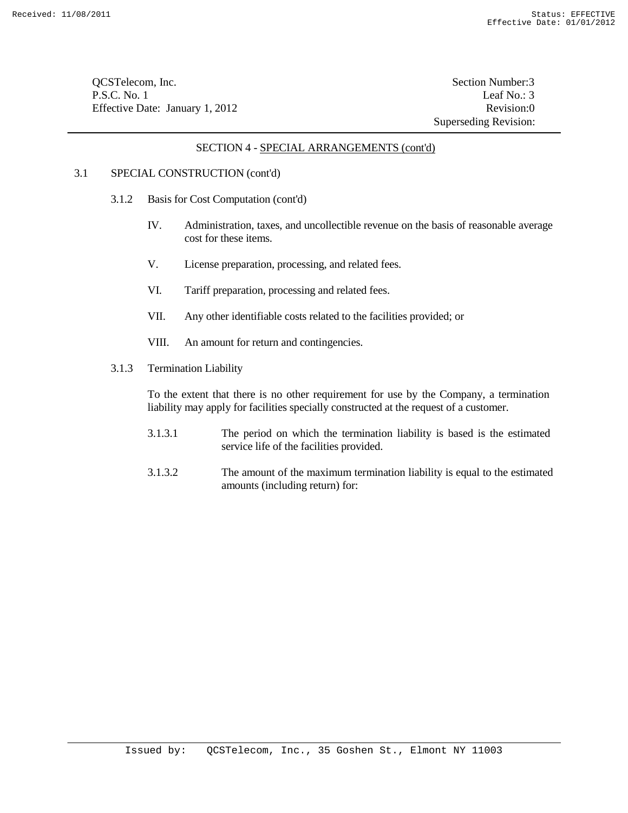QCSTelecom, Inc. Section Number:3 P.S.C. No. 1 Leaf No.: 3 Effective Date: January 1, 2012 Revision:0

Superseding Revision:

## SECTION 4 - SPECIAL ARRANGEMENTS (cont'd)

# 3.1 SPECIAL CONSTRUCTION (cont'd)

- 3.1.2 Basis for Cost Computation (cont'd)
	- IV. Administration, taxes, and uncollectible revenue on the basis of reasonable average cost for these items.
	- V. License preparation, processing, and related fees.
	- VI. Tariff preparation, processing and related fees.
	- VII. Any other identifiable costs related to the facilities provided; or
	- VIII. An amount for return and contingencies.
- 3.1.3 Termination Liability

To the extent that there is no other requirement for use by the Company, a termination liability may apply for facilities specially constructed at the request of a customer.

- 3.1.3.1 The period on which the termination liability is based is the estimated service life of the facilities provided.
- 3.1.3.2 The amount of the maximum termination liability is equal to the estimated amounts (including return) for: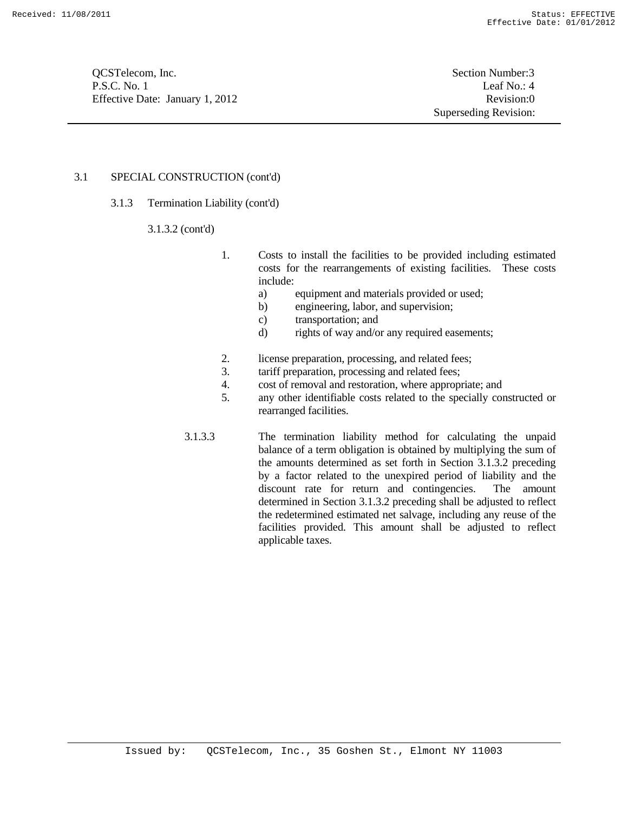**OCSTelecom, Inc.** Section Number:3 P.S.C. No. 1 Leaf No.: 4 Effective Date: January 1, 2012 Revision:0

Superseding Revision:

## 3.1 SPECIAL CONSTRUCTION (cont'd)

- 3.1.3 Termination Liability (cont'd)
	- 3.1.3.2 (cont'd)
- 1. Costs to install the facilities to be provided including estimated costs for the rearrangements of existing facilities. These costs include:
	- a) equipment and materials provided or used;
	- b) engineering, labor, and supervision;
	- c) transportation; and
	- d) rights of way and/or any required easements;
- 2. license preparation, processing, and related fees;
- 3. tariff preparation, processing and related fees;
- 4. cost of removal and restoration, where appropriate; and
- 5. any other identifiable costs related to the specially constructed or rearranged facilities.
- 3.1.3.3 The termination liability method for calculating the unpaid balance of a term obligation is obtained by multiplying the sum of the amounts determined as set forth in Section 3.1.3.2 preceding by a factor related to the unexpired period of liability and the discount rate for return and contingencies. The amount determined in Section 3.1.3.2 preceding shall be adjusted to reflect the redetermined estimated net salvage, including any reuse of the facilities provided. This amount shall be adjusted to reflect applicable taxes.